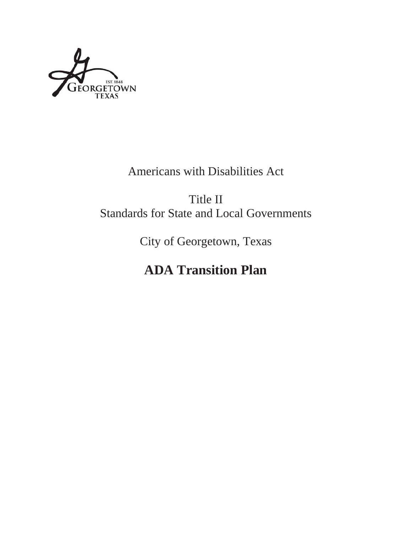

# Americans with Disabilities Act

Title II Standards for State and Local Governments

City of Georgetown, Texas

# **ADA Transition Plan**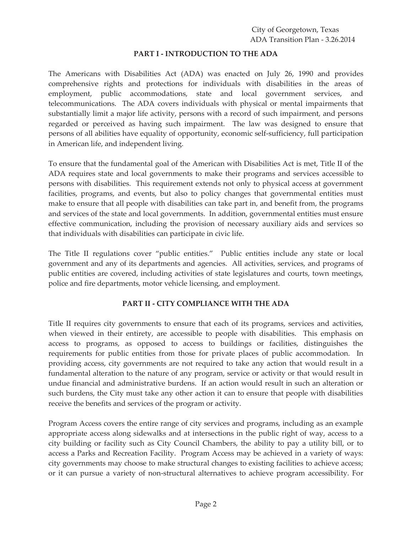#### **PART I - INTRODUCTION TO THE ADA**

The Americans with Disabilities Act (ADA) was enacted on July 26, 1990 and provides comprehensive rights and protections for individuals with disabilities in the areas of employment, public accommodations, state and local government services, and telecommunications. The ADA covers individuals with physical or mental impairments that substantially limit a major life activity, persons with a record of such impairment, and persons regarded or perceived as having such impairment. The law was designed to ensure that persons of all abilities have equality of opportunity, economic self-sufficiency, full participation in American life, and independent living.

To ensure that the fundamental goal of the American with Disabilities Act is met, Title II of the ADA requires state and local governments to make their programs and services accessible to persons with disabilities. This requirement extends not only to physical access at government facilities, programs, and events, but also to policy changes that governmental entities must make to ensure that all people with disabilities can take part in, and benefit from, the programs and services of the state and local governments. In addition, governmental entities must ensure effective communication, including the provision of necessary auxiliary aids and services so that individuals with disabilities can participate in civic life.

The Title II regulations cover "public entities." Public entities include any state or local government and any of its departments and agencies. All activities, services, and programs of public entities are covered, including activities of state legislatures and courts, town meetings, police and fire departments, motor vehicle licensing, and employment.

# **PART II - CITY COMPLIANCE WITH THE ADA**

Title II requires city governments to ensure that each of its programs, services and activities, when viewed in their entirety, are accessible to people with disabilities. This emphasis on access to programs, as opposed to access to buildings or facilities, distinguishes the requirements for public entities from those for private places of public accommodation. In providing access, city governments are not required to take any action that would result in a fundamental alteration to the nature of any program, service or activity or that would result in undue financial and administrative burdens. If an action would result in such an alteration or such burdens, the City must take any other action it can to ensure that people with disabilities receive the benefits and services of the program or activity.

Program Access covers the entire range of city services and programs, including as an example appropriate access along sidewalks and at intersections in the public right of way, access to a city building or facility such as City Council Chambers, the ability to pay a utility bill, or to access a Parks and Recreation Facility. Program Access may be achieved in a variety of ways: city governments may choose to make structural changes to existing facilities to achieve access; or it can pursue a variety of non-structural alternatives to achieve program accessibility. For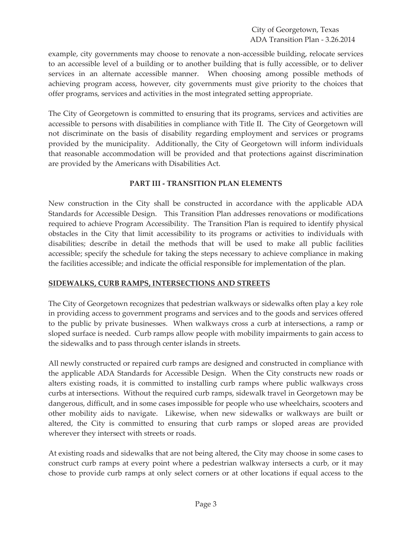City of Georgetown, Texas ADA Transition Plan - 3.26.2014

example, city governments may choose to renovate a non-accessible building, relocate services to an accessible level of a building or to another building that is fully accessible, or to deliver services in an alternate accessible manner. When choosing among possible methods of achieving program access, however, city governments must give priority to the choices that offer programs, services and activities in the most integrated setting appropriate.

The City of Georgetown is committed to ensuring that its programs, services and activities are accessible to persons with disabilities in compliance with Title II. The City of Georgetown will not discriminate on the basis of disability regarding employment and services or programs provided by the municipality. Additionally, the City of Georgetown will inform individuals that reasonable accommodation will be provided and that protections against discrimination are provided by the Americans with Disabilities Act.

#### **PART III - TRANSITION PLAN ELEMENTS**

New construction in the City shall be constructed in accordance with the applicable ADA Standards for Accessible Design. This Transition Plan addresses renovations or modifications required to achieve Program Accessibility. The Transition Plan is required to identify physical obstacles in the City that limit accessibility to its programs or activities to individuals with disabilities; describe in detail the methods that will be used to make all public facilities accessible; specify the schedule for taking the steps necessary to achieve compliance in making the facilities accessible; and indicate the official responsible for implementation of the plan.

# **SIDEWALKS, CURB RAMPS, INTERSECTIONS AND STREETS**

The City of Georgetown recognizes that pedestrian walkways or sidewalks often play a key role in providing access to government programs and services and to the goods and services offered to the public by private businesses. When walkways cross a curb at intersections, a ramp or sloped surface is needed. Curb ramps allow people with mobility impairments to gain access to the sidewalks and to pass through center islands in streets.

All newly constructed or repaired curb ramps are designed and constructed in compliance with the applicable ADA Standards for Accessible Design. When the City constructs new roads or alters existing roads, it is committed to installing curb ramps where public walkways cross curbs at intersections. Without the required curb ramps, sidewalk travel in Georgetown may be dangerous, difficult, and in some cases impossible for people who use wheelchairs, scooters and other mobility aids to navigate. Likewise, when new sidewalks or walkways are built or altered, the City is committed to ensuring that curb ramps or sloped areas are provided wherever they intersect with streets or roads.

At existing roads and sidewalks that are not being altered, the City may choose in some cases to construct curb ramps at every point where a pedestrian walkway intersects a curb, or it may chose to provide curb ramps at only select corners or at other locations if equal access to the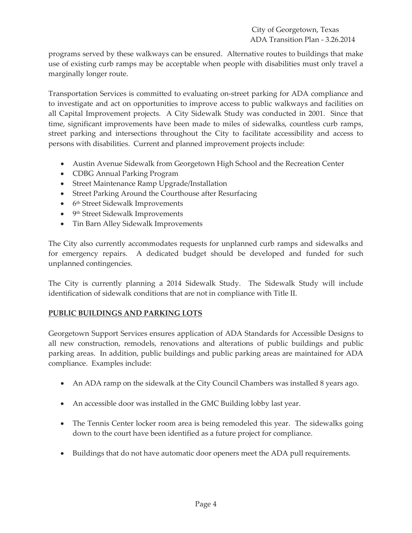programs served by these walkways can be ensured. Alternative routes to buildings that make use of existing curb ramps may be acceptable when people with disabilities must only travel a marginally longer route.

Transportation Services is committed to evaluating on-street parking for ADA compliance and to investigate and act on opportunities to improve access to public walkways and facilities on all Capital Improvement projects. A City Sidewalk Study was conducted in 2001. Since that time, significant improvements have been made to miles of sidewalks, countless curb ramps, street parking and intersections throughout the City to facilitate accessibility and access to persons with disabilities. Current and planned improvement projects include:

- Austin Avenue Sidewalk from Georgetown High School and the Recreation Center
- CDBG Annual Parking Program
- Street Maintenance Ramp Upgrade/Installation
- Street Parking Around the Courthouse after Resurfacing
- $\bullet$  6<sup>th</sup> Street Sidewalk Improvements
- $\bullet$  9<sup>th</sup> Street Sidewalk Improvements
- Tin Barn Alley Sidewalk Improvements

The City also currently accommodates requests for unplanned curb ramps and sidewalks and for emergency repairs. A dedicated budget should be developed and funded for such unplanned contingencies.

The City is currently planning a 2014 Sidewalk Study. The Sidewalk Study will include identification of sidewalk conditions that are not in compliance with Title II.

# **PUBLIC BUILDINGS AND PARKING LOTS**

Georgetown Support Services ensures application of ADA Standards for Accessible Designs to all new construction, remodels, renovations and alterations of public buildings and public parking areas. In addition, public buildings and public parking areas are maintained for ADA compliance. Examples include:

- An ADA ramp on the sidewalk at the City Council Chambers was installed 8 years ago.
- An accessible door was installed in the GMC Building lobby last year.
- The Tennis Center locker room area is being remodeled this year. The sidewalks going down to the court have been identified as a future project for compliance.
- Buildings that do not have automatic door openers meet the ADA pull requirements.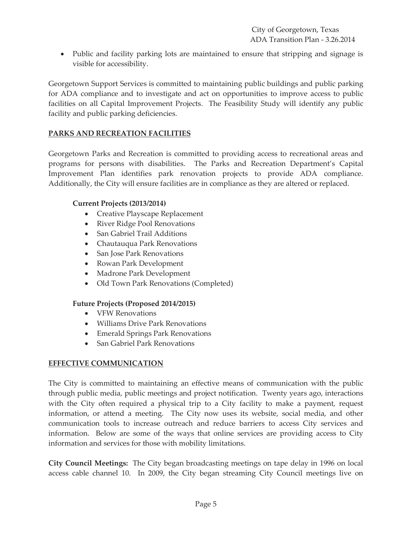• Public and facility parking lots are maintained to ensure that stripping and signage is visible for accessibility.

Georgetown Support Services is committed to maintaining public buildings and public parking for ADA compliance and to investigate and act on opportunities to improve access to public facilities on all Capital Improvement Projects. The Feasibility Study will identify any public facility and public parking deficiencies.

# **PARKS AND RECREATION FACILITIES**

Georgetown Parks and Recreation is committed to providing access to recreational areas and programs for persons with disabilities. The Parks and Recreation Department's Capital Improvement Plan identifies park renovation projects to provide ADA compliance. Additionally, the City will ensure facilities are in compliance as they are altered or replaced.

# **Current Projects (2013/2014)**

- Creative Playscape Replacement
- River Ridge Pool Renovations
- San Gabriel Trail Additions
- Chautauqua Park Renovations
- San Jose Park Renovations
- Rowan Park Development
- Madrone Park Development
- Old Town Park Renovations (Completed)

# **Future Projects (Proposed 2014/2015)**

- VFW Renovations
- Williams Drive Park Renovations
- **•** Emerald Springs Park Renovations
- San Gabriel Park Renovations

# **EFFECTIVE COMMUNICATION**

The City is committed to maintaining an effective means of communication with the public through public media, public meetings and project notification. Twenty years ago, interactions with the City often required a physical trip to a City facility to make a payment, request information, or attend a meeting. The City now uses its website, social media, and other communication tools to increase outreach and reduce barriers to access City services and information. Below are some of the ways that online services are providing access to City information and services for those with mobility limitations.

**City Council Meetings:** The City began broadcasting meetings on tape delay in 1996 on local access cable channel 10. In 2009, the City began streaming City Council meetings live on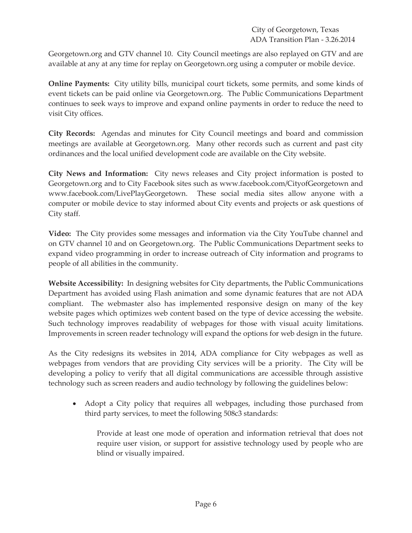City of Georgetown, Texas ADA Transition Plan - 3.26.2014

Georgetown.org and GTV channel 10. City Council meetings are also replayed on GTV and are available at any at any time for replay on Georgetown.org using a computer or mobile device.

**Online Payments:** City utility bills, municipal court tickets, some permits, and some kinds of event tickets can be paid online via Georgetown.org. The Public Communications Department continues to seek ways to improve and expand online payments in order to reduce the need to visit City offices.

**City Records:** Agendas and minutes for City Council meetings and board and commission meetings are available at Georgetown.org. Many other records such as current and past city ordinances and the local unified development code are available on the City website.

**City News and Information:** City news releases and City project information is posted to Georgetown.org and to City Facebook sites such as www.facebook.com/CityofGeorgetown and www.facebook.com/LivePlayGeorgetown. These social media sites allow anyone with a computer or mobile device to stay informed about City events and projects or ask questions of City staff.

**Video:** The City provides some messages and information via the City YouTube channel and on GTV channel 10 and on Georgetown.org. The Public Communications Department seeks to expand video programming in order to increase outreach of City information and programs to people of all abilities in the community.

**Website Accessibility:** In designing websites for City departments, the Public Communications Department has avoided using Flash animation and some dynamic features that are not ADA compliant. The webmaster also has implemented responsive design on many of the key website pages which optimizes web content based on the type of device accessing the website. Such technology improves readability of webpages for those with visual acuity limitations. Improvements in screen reader technology will expand the options for web design in the future.

As the City redesigns its websites in 2014, ADA compliance for City webpages as well as webpages from vendors that are providing City services will be a priority. The City will be developing a policy to verify that all digital communications are accessible through assistive technology such as screen readers and audio technology by following the guidelines below:

• Adopt a City policy that requires all webpages, including those purchased from third party services, to meet the following 508c3 standards:

Provide at least one mode of operation and information retrieval that does not require user vision, or support for assistive technology used by people who are blind or visually impaired.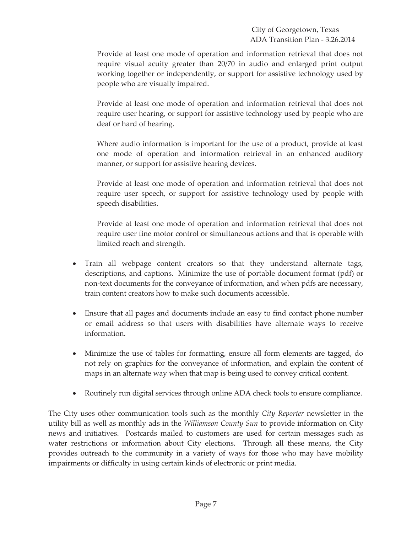Provide at least one mode of operation and information retrieval that does not require visual acuity greater than 20/70 in audio and enlarged print output working together or independently, or support for assistive technology used by people who are visually impaired.

Provide at least one mode of operation and information retrieval that does not require user hearing, or support for assistive technology used by people who are deaf or hard of hearing.

Where audio information is important for the use of a product, provide at least one mode of operation and information retrieval in an enhanced auditory manner, or support for assistive hearing devices.

Provide at least one mode of operation and information retrieval that does not require user speech, or support for assistive technology used by people with speech disabilities.

Provide at least one mode of operation and information retrieval that does not require user fine motor control or simultaneous actions and that is operable with limited reach and strength.

- Train all webpage content creators so that they understand alternate tags, descriptions, and captions. Minimize the use of portable document format (pdf) or non-text documents for the conveyance of information, and when pdfs are necessary, train content creators how to make such documents accessible.
- Ensure that all pages and documents include an easy to find contact phone number or email address so that users with disabilities have alternate ways to receive information.
- Minimize the use of tables for formatting, ensure all form elements are tagged, do not rely on graphics for the conveyance of information, and explain the content of maps in an alternate way when that map is being used to convey critical content.
- Routinely run digital services through online ADA check tools to ensure compliance.

The City uses other communication tools such as the monthly *City Reporter* newsletter in the utility bill as well as monthly ads in the *Williamson County Sun* to provide information on City news and initiatives. Postcards mailed to customers are used for certain messages such as water restrictions or information about City elections. Through all these means, the City provides outreach to the community in a variety of ways for those who may have mobility impairments or difficulty in using certain kinds of electronic or print media.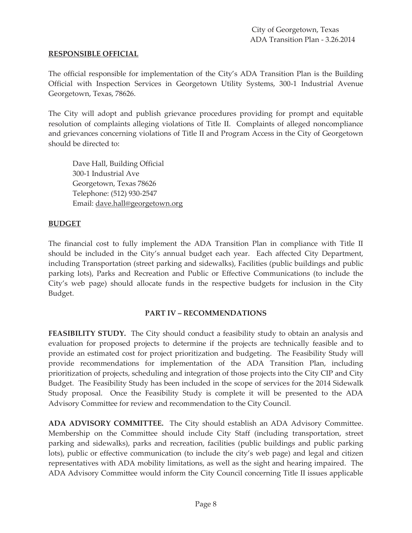#### **RESPONSIBLE OFFICIAL**

The official responsible for implementation of the City's ADA Transition Plan is the Building Official with Inspection Services in Georgetown Utility Systems, 300-1 Industrial Avenue Georgetown, Texas, 78626.

The City will adopt and publish grievance procedures providing for prompt and equitable resolution of complaints alleging violations of Title II. Complaints of alleged noncompliance and grievances concerning violations of Title II and Program Access in the City of Georgetown should be directed to:

Dave Hall, Building Official 300-1 Industrial Ave Georgetown, Texas 78626 Telephone: (512) 930-2547 Email: dave.hall@georgetown.org

#### **BUDGET**

The financial cost to fully implement the ADA Transition Plan in compliance with Title II should be included in the City's annual budget each year. Each affected City Department, including Transportation (street parking and sidewalks), Facilities (public buildings and public parking lots), Parks and Recreation and Public or Effective Communications (to include the City's web page) should allocate funds in the respective budgets for inclusion in the City Budget.

#### **PART IV – RECOMMENDATIONS**

**FEASIBILITY STUDY.** The City should conduct a feasibility study to obtain an analysis and evaluation for proposed projects to determine if the projects are technically feasible and to provide an estimated cost for project prioritization and budgeting. The Feasibility Study will provide recommendations for implementation of the ADA Transition Plan, including prioritization of projects, scheduling and integration of those projects into the City CIP and City Budget. The Feasibility Study has been included in the scope of services for the 2014 Sidewalk Study proposal. Once the Feasibility Study is complete it will be presented to the ADA Advisory Committee for review and recommendation to the City Council.

**ADA ADVISORY COMMITTEE.** The City should establish an ADA Advisory Committee. Membership on the Committee should include City Staff (including transportation, street parking and sidewalks), parks and recreation, facilities (public buildings and public parking lots), public or effective communication (to include the city's web page) and legal and citizen representatives with ADA mobility limitations, as well as the sight and hearing impaired. The ADA Advisory Committee would inform the City Council concerning Title II issues applicable